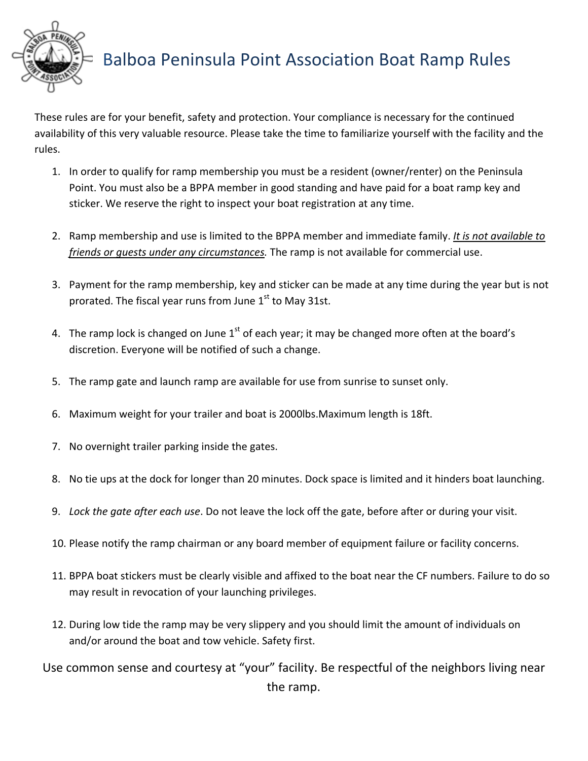

## Balboa Peninsula Point Association Boat Ramp Rules

These rules are for your benefit, safety and protection. Your compliance is necessary for the continued availability of this very valuable resource. Please take the time to familiarize yourself with the facility and the rules.

- 1. In order to qualify for ramp membership you must be a resident (owner/renter) on the Peninsula Point. You must also be a BPPA member in good standing and have paid for a boat ramp key and sticker. We reserve the right to inspect your boat registration at any time.
- 2. Ramp membership and use is limited to the BPPA member and immediate family. *It is not available to friends or guests under any circumstances.* The ramp is not available for commercial use.
- 3. Payment for the ramp membership, key and sticker can be made at any time during the year but is not prorated. The fiscal year runs from June  $1<sup>st</sup>$  to May 31st.
- 4. The ramp lock is changed on June  $1<sup>st</sup>$  of each year; it may be changed more often at the board's discretion. Everyone will be notified of such a change.
- 5. The ramp gate and launch ramp are available for use from sunrise to sunset only.
- 6. Maximum weight for your trailer and boat is 2000lbs.Maximum length is 18ft.
- 7. No overnight trailer parking inside the gates.
- 8. No tie ups at the dock for longer than 20 minutes. Dock space is limited and it hinders boat launching.
- 9. *Lock the gate after each use*. Do not leave the lock off the gate, before after or during your visit.
- 10. Please notify the ramp chairman or any board member of equipment failure or facility concerns.
- 11. BPPA boat stickers must be clearly visible and affixed to the boat near the CF numbers. Failure to do so may result in revocation of your launching privileges.
- 12. During low tide the ramp may be very slippery and you should limit the amount of individuals on and/or around the boat and tow vehicle. Safety first.

Use common sense and courtesy at "your" facility. Be respectful of the neighbors living near the ramp.